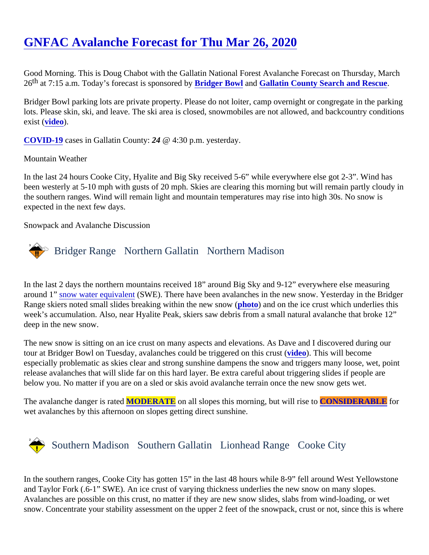# [GNFAC Avalanche Forecast for Thu Mar 26, 202](https://www.mtavalanche.com/forecast/20/03/26)0

Good Morning. This is Doug Chabot with the Gallatin National Forest Avalanche Forecast on Thursday, March 26<sup>th</sup> at 7:15 a[.](https://www.facebook.com/GallatinCountySAR/)m. Today's forecast is sponsore **B by** get Bowl and [Gallatin County Search and Rescu](https://www.facebook.com/GallatinCountySAR/)e.

Bridger Bowl parking lots are private property. Please do not loiter, camp overnight or congregate in the parki lots. Please skin, ski, and leave. The ski area is closed, snowmobiles are not allowed, and backcountry condit exist [\(video](https://youtu.be/EUtgi0g1l9g)).

[COVID-19](https://montana.maps.arcgis.com/apps/MapSeries/index.html?appid=7c34f3412536439491adcc2103421d4b) cases in Gallatin Count $(24 \otimes 4:30 \text{ p.m.})$  yesterday.

#### Mountain Weather

In the last 24 hours Cooke City, Hyalite and Big Sky received 5-6" while everywhere else got 2-3". Wind has been westerly at 5-10 mph with gusts of 20 mph. Skies are clearing this morning but will remain partly cloudy the southern ranges. Wind will remain light and mountain temperatures may rise into high 30s. No snow is expected in the next few days.

Snowpack and Avalanche Discussion

## Bridger Range Northern Gallatin Northern Madison

In the last 2 days the northern mountains received 18" around Big Sky and 9-12" everywhere else measuring around 1[" snow water equivale](https://www.mtavalanche.com/taxonomy/term/451)n(SWE). There have been avalanches in the new snow. Yesterday in the Bridge Range skiers noted small slides breaking within the new splowto) and on the ice crust which underlies this week's accumulation. Also, near Hyalite Peak, skiers saw debris from a small natural avalanche that broke 12 deep in the new snow.

The new snow is sitting on an ice crust on many aspects and elevations. As Dave and I discovered during our tour at Bridger Bowl on Tuesday, avalanches could be triggered on this ordersol. (This will become especially problematic as skies clear and strong sunshine dampens the snow and triggers many loose, wet, point release avalanches that will slide far on this hard layer. Be extra careful about triggering slides if people are below you. No matter if you are on a sled or skis avoid avalanche terrain once the new snow gets wet.

The avalanche danger is raMODERATE on all slopes this morning, but will rise CONSIDERABLE for wet avalanches by this afternoon on slopes getting direct sunshine.

### Southern MadisonSouthern Gallatin Lionhead RangeCooke City

In the southern ranges, Cooke City has gotten 15" in the last 48 hours while 8-9" fell around West Yellowston and Taylor Fork (.6-1" SWE). An ice crust of varying thickness underlies the new snow on many slopes. Avalanches are possible on this crust, no matter if they are new snow slides, slabs from wind-loading, or wet snow. Concentrate your stability assessment on the upper 2 feet of the snowpack, crust or not, since this is w